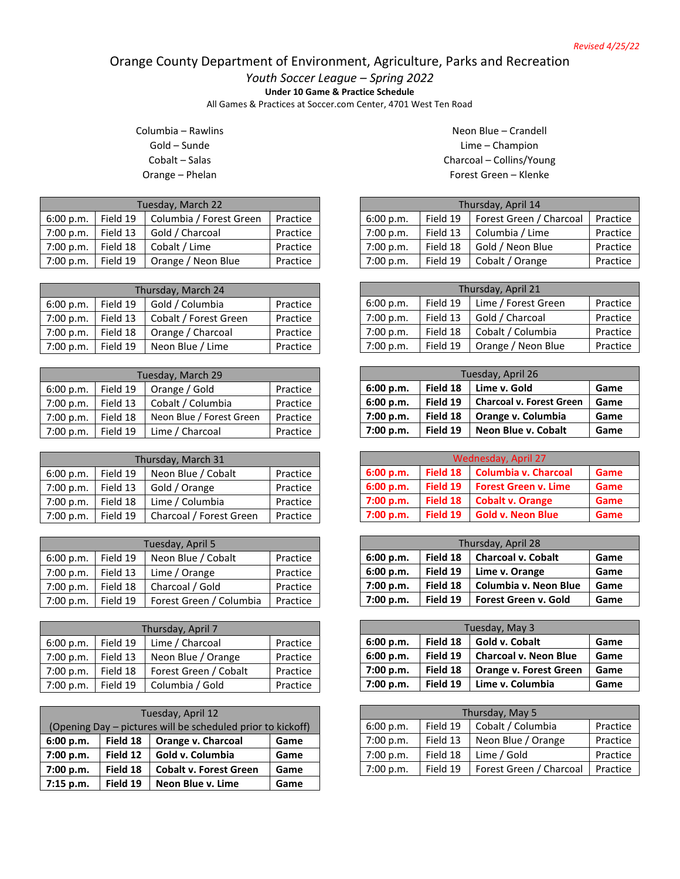## Orange County Department of Environment, Agriculture, Parks and Recreation

*Youth Soccer League – Spring 2022*

**Under 10 Game & Practice Schedule**

All Games & Practices at Soccer.com Center, 4701 West Ten Road

Columbia – Rawlins Gold – Sunde Cobalt – Salas Orange – Phelan

| Tuesday, March 22 |          |                         |          |
|-------------------|----------|-------------------------|----------|
| 6:00 p.m.         | Field 19 | Columbia / Forest Green | Practice |
| 7:00 p.m.         | Field 13 | Gold / Charcoal         | Practice |
| 7:00 p.m.         | Field 18 | Cobalt / Lime           | Practice |
| 7:00 p.m.         | Field 19 | Orange / Neon Blue      | Practice |

| Thursday, March 24 |          |                       |          |
|--------------------|----------|-----------------------|----------|
| 6:00 p.m.          | Field 19 | Gold / Columbia       | Practice |
| 7:00 p.m.          | Field 13 | Cobalt / Forest Green | Practice |
| 7:00 p.m.          | Field 18 | Orange / Charcoal     | Practice |
| 7:00 p.m.          | Field 19 | Neon Blue / Lime      | Practice |

| Tuesday, March 29 |          |                          |          |
|-------------------|----------|--------------------------|----------|
| 6:00 p.m.         | Field 19 | Orange / Gold            | Practice |
| 7:00 p.m.         | Field 13 | Cobalt / Columbia        | Practice |
| 7:00 p.m.         | Field 18 | Neon Blue / Forest Green | Practice |
| 7:00 p.m.         | Field 19 | Lime / Charcoal          | Practice |

| Thursday, March 31 |          |                         |          |
|--------------------|----------|-------------------------|----------|
| 6:00 p.m.          | Field 19 | Neon Blue / Cobalt      | Practice |
| 7:00 p.m.          | Field 13 | Gold / Orange           | Practice |
| 7:00 p.m.          | Field 18 | Lime / Columbia         | Practice |
| 7:00 p.m.          | Field 19 | Charcoal / Forest Green | Practice |

| Tuesday, April 5 |          |                         |          |
|------------------|----------|-------------------------|----------|
| 6:00 p.m.        | Field 19 | Neon Blue / Cobalt      | Practice |
| 7:00 p.m.        | Field 13 | Lime / Orange           | Practice |
| 7:00 p.m.        | Field 18 | Charcoal / Gold         | Practice |
| 7:00 p.m.        | Field 19 | Forest Green / Columbia | Practice |

| Thursday, April 7 |          |                       |          |  |
|-------------------|----------|-----------------------|----------|--|
| 6:00 p.m.         | Field 19 | Lime / Charcoal       | Practice |  |
| 7:00 p.m.         | Field 13 | Neon Blue / Orange    | Practice |  |
| 7:00 p.m.         | Field 18 | Forest Green / Cobalt | Practice |  |
| 7:00 p.m.         | Field 19 | Columbia / Gold       | Practice |  |

| Tuesday, April 12 |                                                             |                               |      |  |
|-------------------|-------------------------------------------------------------|-------------------------------|------|--|
|                   | (Opening Day – pictures will be scheduled prior to kickoff) |                               |      |  |
| 6:00 p.m.         | Field 18<br>Orange v. Charcoal<br>Game                      |                               |      |  |
| 7:00 p.m.         | Field 12                                                    | Gold v. Columbia              | Game |  |
| 7:00 p.m.         | Field 18                                                    | <b>Cobalt v. Forest Green</b> | Game |  |
| 7:15 p.m.         | Field 19                                                    | Neon Blue v. Lime             | Game |  |

Neon Blue – Crandell Lime – Champion Charcoal – Collins/Young Forest Green – Klenke

| Thursday, April 14 |          |                         |          |  |
|--------------------|----------|-------------------------|----------|--|
| 6:00 p.m.          | Field 19 | Forest Green / Charcoal | Practice |  |
| 7:00 p.m.          | Field 13 | Columbia / Lime         | Practice |  |
| 7:00 p.m.          | Field 18 | Gold / Neon Blue        | Practice |  |
| 7:00 p.m.          | Field 19 | Cobalt / Orange         | Practice |  |

| Thursday, April 21 |          |                     |          |  |
|--------------------|----------|---------------------|----------|--|
| 6:00 p.m.          | Field 19 | Lime / Forest Green | Practice |  |
| 7:00 p.m.          | Field 13 | Gold / Charcoal     | Practice |  |
| 7:00 p.m.          | Field 18 | Cobalt / Columbia   | Practice |  |
| 7:00 p.m.          | Field 19 | Orange / Neon Blue  | Practice |  |

| Tuesday, April 26 |          |                                 |      |
|-------------------|----------|---------------------------------|------|
| 6:00 p.m.         | Field 18 | Lime v. Gold                    | Game |
| 6:00 p.m.         | Field 19 | <b>Charcoal v. Forest Green</b> | Game |
| 7:00 p.m.         | Field 18 | Orange v. Columbia              | Game |
| 7:00 p.m.         | Field 19 | Neon Blue v. Cobalt             | Game |

| Wednesday, April 27 |          |                             |      |
|---------------------|----------|-----------------------------|------|
| 6:00 p.m.           | Field 18 | <b>Columbia v. Charcoal</b> | Game |
| 6:00 p.m.           | Field 19 | <b>Forest Green v. Lime</b> | Game |
| 7:00 p.m.           | Field 18 | <b>Cobalt v. Orange</b>     | Game |
| 7:00 p.m.           | Field 19 | <b>Gold v. Neon Blue</b>    | Game |

| Thursday, April 28 |          |                             |      |
|--------------------|----------|-----------------------------|------|
| 6:00 p.m.          | Field 18 | <b>Charcoal v. Cobalt</b>   | Game |
| 6:00 p.m.          | Field 19 | Lime v. Orange              | Game |
| 7:00 p.m.          | Field 18 | Columbia v. Neon Blue       | Game |
| 7:00 p.m.          | Field 19 | <b>Forest Green v. Gold</b> | Game |

| Tuesday, May 3 |          |                               |      |  |
|----------------|----------|-------------------------------|------|--|
| 6:00 p.m.      | Field 18 | Gold v. Cobalt                | Game |  |
| 6:00 p.m.      | Field 19 | <b>Charcoal v. Neon Blue</b>  | Game |  |
| 7:00 p.m.      | Field 18 | <b>Orange v. Forest Green</b> | Game |  |
| 7:00 p.m.      | Field 19 | Lime v. Columbia              | Game |  |

| Thursday, May 5 |          |                         |          |  |
|-----------------|----------|-------------------------|----------|--|
| 6:00 p.m.       | Field 19 | Cobalt / Columbia       | Practice |  |
| 7:00 p.m.       | Field 13 | Neon Blue / Orange      | Practice |  |
| 7:00 p.m.       | Field 18 | Lime / Gold             | Practice |  |
| 7:00 p.m.       | Field 19 | Forest Green / Charcoal | Practice |  |